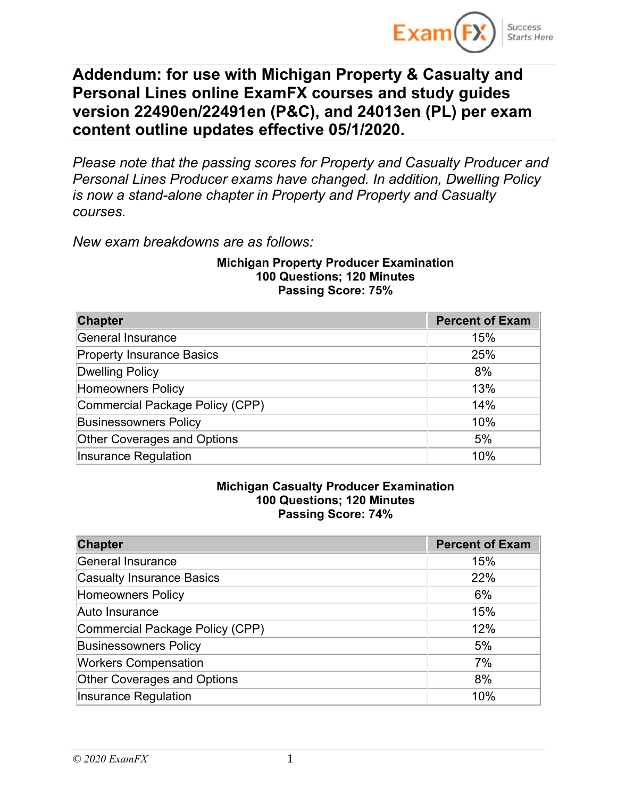

# **Addendum: for use with Michigan Property & Casualty and Personal Lines online ExamFX courses and study guides version 22490en/22491en (P&C), and 24013en (PL) per exam content outline updates effective 05/1/2020.**

*Please note that the passing scores for Property and Casualty Producer and Personal Lines Producer exams have changed. In addition, Dwelling Policy is now a stand-alone chapter in Property and Property and Casualty courses.*

*New exam breakdowns are as follows:*

#### **Michigan Property Producer Examination 100 Questions; 120 Minutes Passing Score: 75%**

| <b>Chapter</b>                     | <b>Percent of Exam</b> |
|------------------------------------|------------------------|
| General Insurance                  | 15%                    |
| <b>Property Insurance Basics</b>   | 25%                    |
| <b>Dwelling Policy</b>             | 8%                     |
| <b>Homeowners Policy</b>           | 13%                    |
| Commercial Package Policy (CPP)    | 14%                    |
| <b>Businessowners Policy</b>       | 10%                    |
| <b>Other Coverages and Options</b> | 5%                     |
| Insurance Regulation               | 10%                    |

#### **Michigan Casualty Producer Examination 100 Questions; 120 Minutes Passing Score: 74%**

| <b>Chapter</b>                   | <b>Percent of Exam</b> |
|----------------------------------|------------------------|
| <b>General Insurance</b>         | 15%                    |
| <b>Casualty Insurance Basics</b> | 22%                    |
| <b>Homeowners Policy</b>         | 6%                     |
| Auto Insurance                   | 15%                    |
| Commercial Package Policy (CPP)  | 12%                    |
| <b>Businessowners Policy</b>     | 5%                     |
| <b>Workers Compensation</b>      | 7%                     |
| Other Coverages and Options      | 8%                     |
| <b>Insurance Regulation</b>      | 10%                    |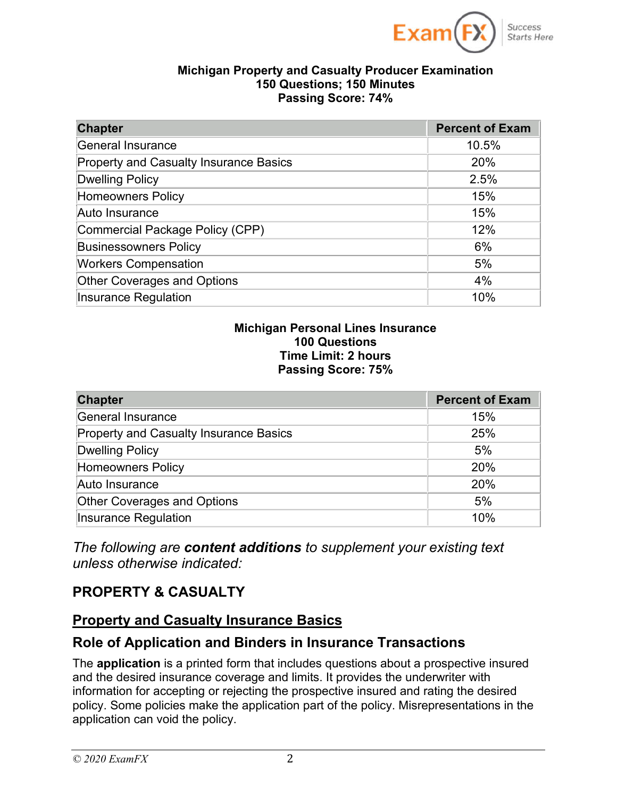

Success **Starts Here** 

#### **Michigan Property and Casualty Producer Examination 150 Questions; 150 Minutes Passing Score: 74%**

| <b>Chapter</b>                                | <b>Percent of Exam</b> |
|-----------------------------------------------|------------------------|
| <b>General Insurance</b>                      | 10.5%                  |
| <b>Property and Casualty Insurance Basics</b> | 20%                    |
| <b>Dwelling Policy</b>                        | 2.5%                   |
| <b>Homeowners Policy</b>                      | 15%                    |
| Auto Insurance                                | 15%                    |
| Commercial Package Policy (CPP)               | 12%                    |
| <b>Businessowners Policy</b>                  | 6%                     |
| <b>Workers Compensation</b>                   | 5%                     |
| <b>Other Coverages and Options</b>            | 4%                     |
| <b>Insurance Regulation</b>                   | 10%                    |

#### **Michigan Personal Lines Insurance 100 Questions Time Limit: 2 hours Passing Score: 75%**

| <b>Chapter</b>                                | <b>Percent of Exam</b> |
|-----------------------------------------------|------------------------|
| General Insurance                             | 15%                    |
| <b>Property and Casualty Insurance Basics</b> | 25%                    |
| <b>Dwelling Policy</b>                        | 5%                     |
| <b>Homeowners Policy</b>                      | 20%                    |
| Auto Insurance                                | 20%                    |
| <b>Other Coverages and Options</b>            | 5%                     |
| <b>Insurance Regulation</b>                   | 10%                    |

*The following are content additions to supplement your existing text unless otherwise indicated:*

### **PROPERTY & CASUALTY**

#### **Property and Casualty Insurance Basics**

#### **Role of Application and Binders in Insurance Transactions**

The **application** is a printed form that includes questions about a prospective insured and the desired insurance coverage and limits. It provides the underwriter with information for accepting or rejecting the prospective insured and rating the desired policy. Some policies make the application part of the policy. Misrepresentations in the application can void the policy.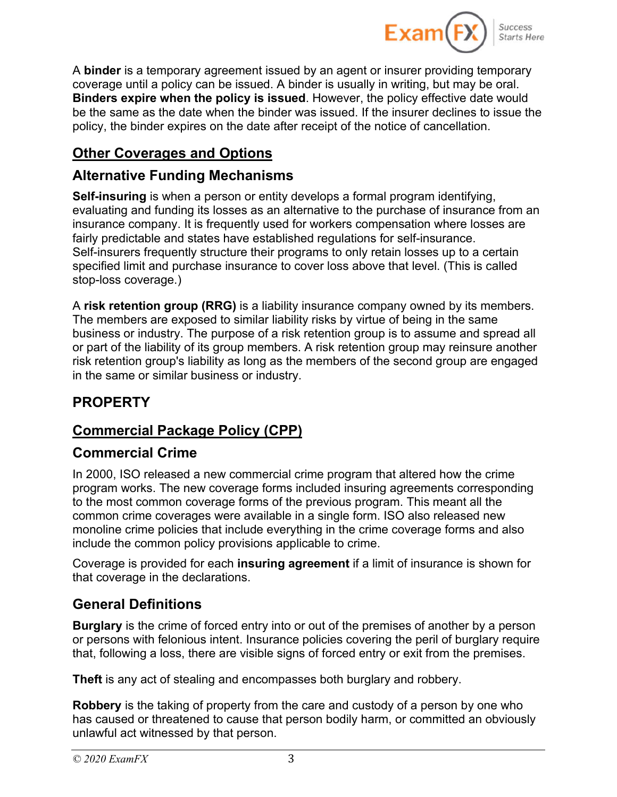

A **binder** is a temporary agreement issued by an agent or insurer providing temporary coverage until a policy can be issued. A binder is usually in writing, but may be oral. **Binders expire when the policy is issued**. However, the policy effective date would be the same as the date when the binder was issued. If the insurer declines to issue the policy, the binder expires on the date after receipt of the notice of cancellation.

## **Other Coverages and Options**

## **Alternative Funding Mechanisms**

**Self-insuring** is when a person or entity develops a formal program identifying, evaluating and funding its losses as an alternative to the purchase of insurance from an insurance company. It is frequently used for workers compensation where losses are fairly predictable and states have established regulations for self-insurance. Self-insurers frequently structure their programs to only retain losses up to a certain specified limit and purchase insurance to cover loss above that level. (This is called stop-loss coverage.)

A **risk retention group (RRG)** is a liability insurance company owned by its members. The members are exposed to similar liability risks by virtue of being in the same business or industry. The purpose of a risk retention group is to assume and spread all or part of the liability of its group members. A risk retention group may reinsure another risk retention group's liability as long as the members of the second group are engaged in the same or similar business or industry.

# **PROPERTY**

# **Commercial Package Policy (CPP)**

## **Commercial Crime**

In 2000, ISO released a new commercial crime program that altered how the crime program works. The new coverage forms included insuring agreements corresponding to the most common coverage forms of the previous program. This meant all the common crime coverages were available in a single form. ISO also released new monoline crime policies that include everything in the crime coverage forms and also include the common policy provisions applicable to crime.

Coverage is provided for each **insuring agreement** if a limit of insurance is shown for that coverage in the declarations.

# **General Definitions**

**Burglary** is the crime of forced entry into or out of the premises of another by a person or persons with felonious intent. Insurance policies covering the peril of burglary require that, following a loss, there are visible signs of forced entry or exit from the premises.

**Theft** is any act of stealing and encompasses both burglary and robbery.

**Robbery** is the taking of property from the care and custody of a person by one who has caused or threatened to cause that person bodily harm, or committed an obviously unlawful act witnessed by that person.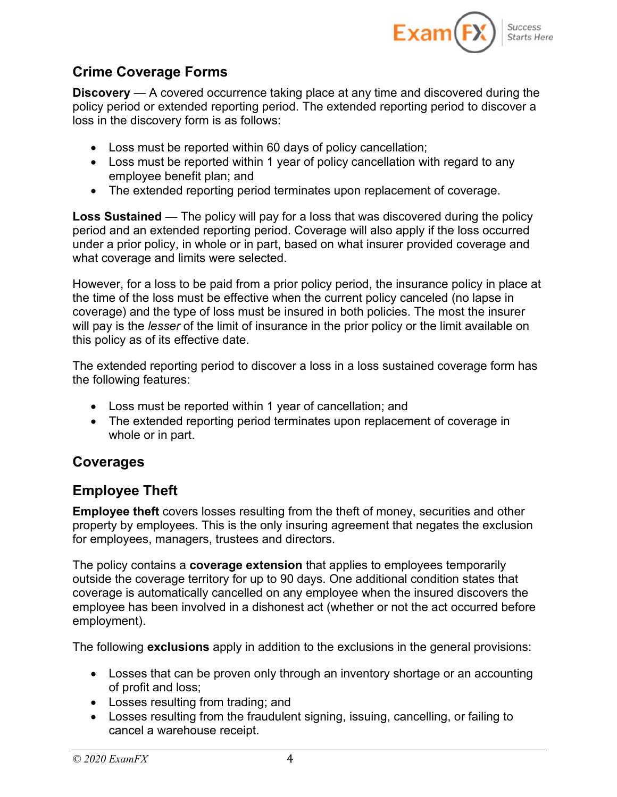

## **Crime Coverage Forms**

**Discovery** — A covered occurrence taking place at any time and discovered during the policy period or extended reporting period. The extended reporting period to discover a loss in the discovery form is as follows:

- Loss must be reported within 60 days of policy cancellation;
- Loss must be reported within 1 year of policy cancellation with regard to any employee benefit plan; and
- The extended reporting period terminates upon replacement of coverage.

**Loss Sustained** — The policy will pay for a loss that was discovered during the policy period and an extended reporting period. Coverage will also apply if the loss occurred under a prior policy, in whole or in part, based on what insurer provided coverage and what coverage and limits were selected.

However, for a loss to be paid from a prior policy period, the insurance policy in place at the time of the loss must be effective when the current policy canceled (no lapse in coverage) and the type of loss must be insured in both policies. The most the insurer will pay is the *lesser* of the limit of insurance in the prior policy or the limit available on this policy as of its effective date.

The extended reporting period to discover a loss in a loss sustained coverage form has the following features:

- Loss must be reported within 1 year of cancellation; and
- The extended reporting period terminates upon replacement of coverage in whole or in part.

### **Coverages**

## **Employee Theft**

**Employee theft** covers losses resulting from the theft of money, securities and other property by employees. This is the only insuring agreement that negates the exclusion for employees, managers, trustees and directors.

The policy contains a **coverage extension** that applies to employees temporarily outside the coverage territory for up to 90 days. One additional condition states that coverage is automatically cancelled on any employee when the insured discovers the employee has been involved in a dishonest act (whether or not the act occurred before employment).

The following **exclusions** apply in addition to the exclusions in the general provisions:

- Losses that can be proven only through an inventory shortage or an accounting of profit and loss;
- Losses resulting from trading; and
- Losses resulting from the fraudulent signing, issuing, cancelling, or failing to cancel a warehouse receipt.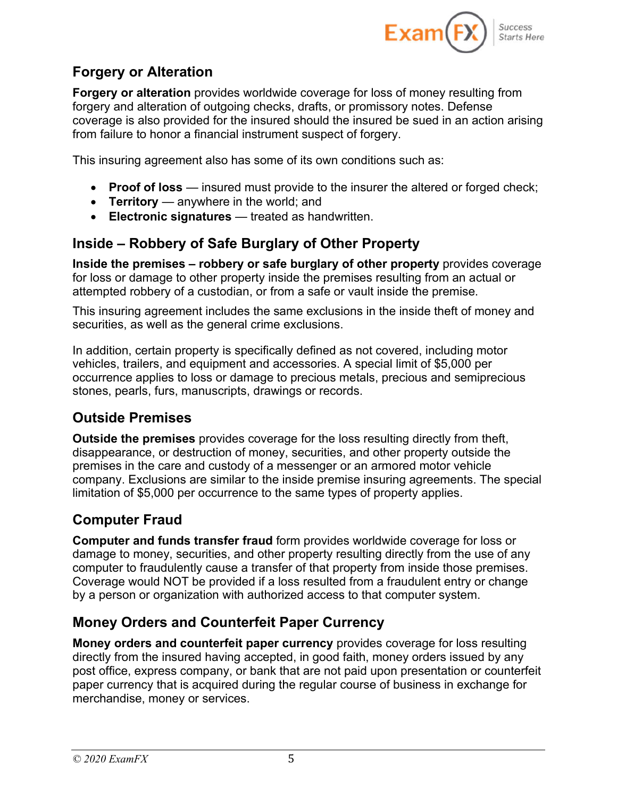

## **Forgery or Alteration**

**Forgery or alteration** provides worldwide coverage for loss of money resulting from forgery and alteration of outgoing checks, drafts, or promissory notes. Defense coverage is also provided for the insured should the insured be sued in an action arising from failure to honor a financial instrument suspect of forgery.

This insuring agreement also has some of its own conditions such as:

- **Proof of loss** insured must provide to the insurer the altered or forged check;
- **Territory** anywhere in the world; and
- **Electronic signatures** treated as handwritten.

# **Inside – Robbery of Safe Burglary of Other Property**

**Inside the premises – robbery or safe burglary of other property** provides coverage for loss or damage to other property inside the premises resulting from an actual or attempted robbery of a custodian, or from a safe or vault inside the premise.

This insuring agreement includes the same exclusions in the inside theft of money and securities, as well as the general crime exclusions.

In addition, certain property is specifically defined as not covered, including motor vehicles, trailers, and equipment and accessories. A special limit of \$5,000 per occurrence applies to loss or damage to precious metals, precious and semiprecious stones, pearls, furs, manuscripts, drawings or records.

### **Outside Premises**

**Outside the premises** provides coverage for the loss resulting directly from theft, disappearance, or destruction of money, securities, and other property outside the premises in the care and custody of a messenger or an armored motor vehicle company. Exclusions are similar to the inside premise insuring agreements. The special limitation of \$5,000 per occurrence to the same types of property applies.

# **Computer Fraud**

**Computer and funds transfer fraud** form provides worldwide coverage for loss or damage to money, securities, and other property resulting directly from the use of any computer to fraudulently cause a transfer of that property from inside those premises. Coverage would NOT be provided if a loss resulted from a fraudulent entry or change by a person or organization with authorized access to that computer system.

## **Money Orders and Counterfeit Paper Currency**

**Money orders and counterfeit paper currency** provides coverage for loss resulting directly from the insured having accepted, in good faith, money orders issued by any post office, express company, or bank that are not paid upon presentation or counterfeit paper currency that is acquired during the regular course of business in exchange for merchandise, money or services.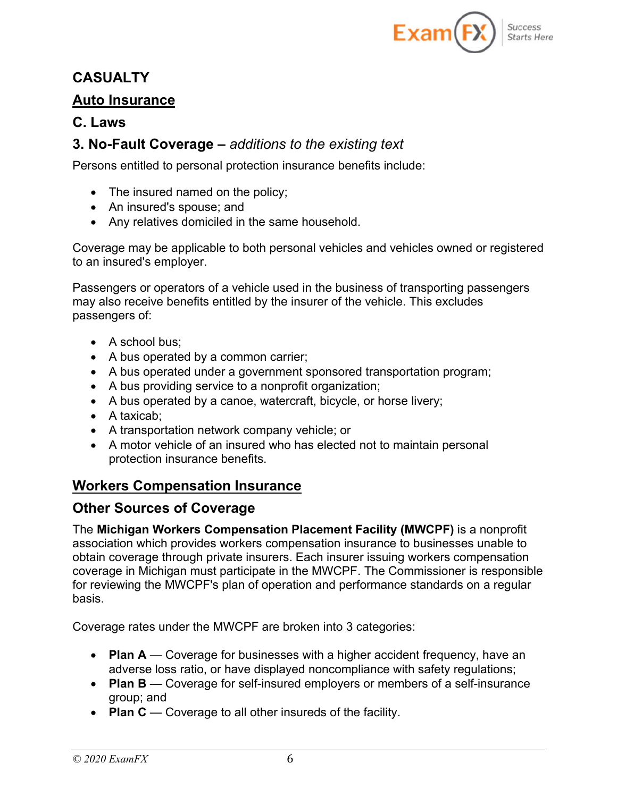

### **CASUALTY**

#### **Auto Insurance**

#### **C. Laws**

#### **3. No-Fault Coverage –** *additions to the existing text*

Persons entitled to personal protection insurance benefits include:

- The insured named on the policy;
- An insured's spouse; and
- Any relatives domiciled in the same household.

Coverage may be applicable to both personal vehicles and vehicles owned or registered to an insured's employer.

Passengers or operators of a vehicle used in the business of transporting passengers may also receive benefits entitled by the insurer of the vehicle. This excludes passengers of:

- A school bus;
- A bus operated by a common carrier;
- A bus operated under a government sponsored transportation program;
- A bus providing service to a nonprofit organization;
- A bus operated by a canoe, watercraft, bicycle, or horse livery;
- A taxicab;
- A transportation network company vehicle; or
- A motor vehicle of an insured who has elected not to maintain personal protection insurance benefits.

### **Workers Compensation Insurance**

#### **Other Sources of Coverage**

The **Michigan Workers Compensation Placement Facility (MWCPF)** is a nonprofit association which provides workers compensation insurance to businesses unable to obtain coverage through private insurers. Each insurer issuing workers compensation coverage in Michigan must participate in the MWCPF. The Commissioner is responsible for reviewing the MWCPF's plan of operation and performance standards on a regular basis.

Coverage rates under the MWCPF are broken into 3 categories:

- **Plan A** Coverage for businesses with a higher accident frequency, have an adverse loss ratio, or have displayed noncompliance with safety regulations;
- **Plan B** Coverage for self-insured employers or members of a self-insurance group; and
- **Plan C** Coverage to all other insureds of the facility.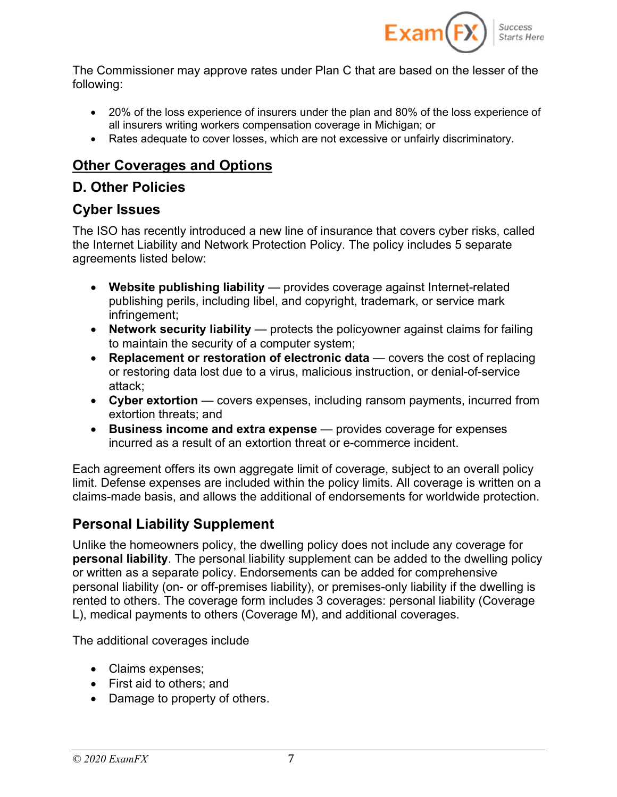

The Commissioner may approve rates under Plan C that are based on the lesser of the following:

- 20% of the loss experience of insurers under the plan and 80% of the loss experience of all insurers writing workers compensation coverage in Michigan; or
- Rates adequate to cover losses, which are not excessive or unfairly discriminatory.

# **Other Coverages and Options**

## **D. Other Policies**

#### **Cyber Issues**

The ISO has recently introduced a new line of insurance that covers cyber risks, called the Internet Liability and Network Protection Policy. The policy includes 5 separate agreements listed below:

- **Website publishing liability** provides coverage against Internet-related publishing perils, including libel, and copyright, trademark, or service mark infringement;
- **Network security liability** protects the policyowner against claims for failing to maintain the security of a computer system;
- **Replacement or restoration of electronic data** covers the cost of replacing or restoring data lost due to a virus, malicious instruction, or denial-of-service attack;
- **Cyber extortion** covers expenses, including ransom payments, incurred from extortion threats; and
- **Business income and extra expense** provides coverage for expenses incurred as a result of an extortion threat or e-commerce incident.

Each agreement offers its own aggregate limit of coverage, subject to an overall policy limit. Defense expenses are included within the policy limits. All coverage is written on a claims-made basis, and allows the additional of endorsements for worldwide protection.

## **Personal Liability Supplement**

Unlike the homeowners policy, the dwelling policy does not include any coverage for **personal liability**. The personal liability supplement can be added to the dwelling policy or written as a separate policy. Endorsements can be added for comprehensive personal liability (on- or off-premises liability), or premises-only liability if the dwelling is rented to others. The coverage form includes 3 coverages: personal liability (Coverage L), medical payments to others (Coverage M), and additional coverages.

The additional coverages include

- Claims expenses;
- First aid to others: and
- Damage to property of others.